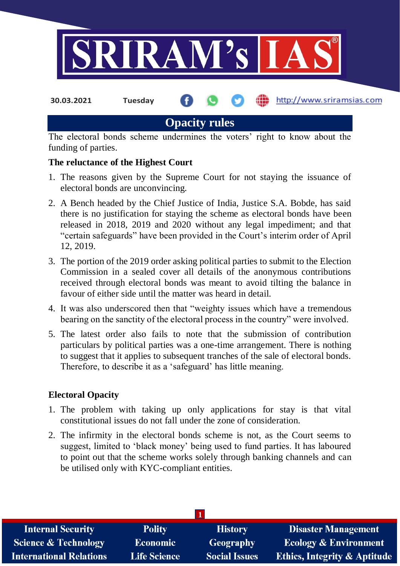

**30.03.2021 Tuesday**

http://www.sriramsias.com

## **Opacity rules**

The electoral bonds scheme undermines the voters' right to know about the funding of parties.

## **The reluctance of the Highest Court**

- 1. The reasons given by the Supreme Court for not staying the issuance of electoral bonds are unconvincing.
- 2. A Bench headed by the Chief Justice of India, Justice S.A. Bobde, has said there is no justification for staying the scheme as electoral bonds have been released in 2018, 2019 and 2020 without any legal impediment; and that "certain safeguards" have been provided in the Court's interim order of April 12, 2019.
- 3. The portion of the 2019 order asking political parties to submit to the Election Commission in a sealed cover all details of the anonymous contributions received through electoral bonds was meant to avoid tilting the balance in favour of either side until the matter was heard in detail.
- 4. It was also underscored then that "weighty issues which have a tremendous bearing on the sanctity of the electoral process in the country" were involved.
- 5. The latest order also fails to note that the submission of contribution particulars by political parties was a one-time arrangement. There is nothing to suggest that it applies to subsequent tranches of the sale of electoral bonds. Therefore, to describe it as a 'safeguard' has little meaning.

## **Electoral Opacity**

- 1. The problem with taking up only applications for stay is that vital constitutional issues do not fall under the zone of consideration.
- 2. The infirmity in the electoral bonds scheme is not, as the Court seems to suggest, limited to 'black money' being used to fund parties. It has laboured to point out that the scheme works solely through banking channels and can be utilised only with KYC-compliant entities.

| <b>Internal Security</b>        | <b>Polity</b>       | <b>History</b>       | <b>Disaster Management</b>              |
|---------------------------------|---------------------|----------------------|-----------------------------------------|
| <b>Science &amp; Technology</b> | <b>Economic</b>     | <b>Geography</b>     | <b>Ecology &amp; Environment</b>        |
| <b>International Relations</b>  | <b>Life Science</b> | <b>Social Issues</b> | <b>Ethics, Integrity &amp; Aptitude</b> |